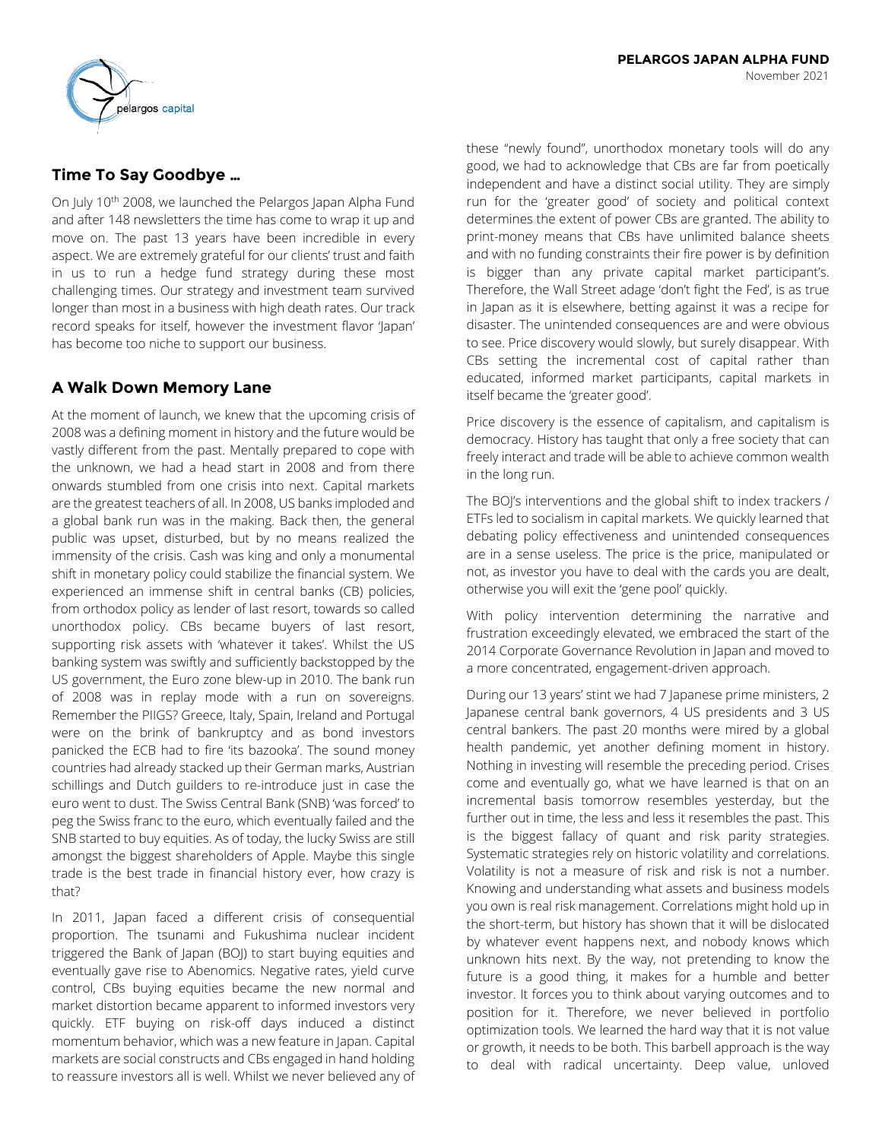# **Time To Say Goodbye …**

On July 10<sup>th</sup> 2008, we launched the Pelargos Japan Alpha Fund and after 148 newsletters the time has come to wrap it up and move on. The past 13 years have been incredible in every aspect. We are extremely grateful for our clients' trust and faith in us to run a hedge fund strategy during these most challenging times. Our strategy and investment team survived longer than most in a business with high death rates. Our track record speaks for itself, however the investment flavor 'Japan' has become too niche to support our business.

# **A Walk Down Memory Lane**

At the moment of launch, we knew that the upcoming crisis of 2008 was a defining moment in history and the future would be vastly different from the past. Mentally prepared to cope with the unknown, we had a head start in 2008 and from there onwards stumbled from one crisis into next. Capital markets are the greatest teachers of all. In 2008, US banks imploded and a global bank run was in the making. Back then, the general public was upset, disturbed, but by no means realized the immensity of the crisis. Cash was king and only a monumental shift in monetary policy could stabilize the financial system. We experienced an immense shift in central banks (CB) policies, from orthodox policy as lender of last resort, towards so called unorthodox policy. CBs became buyers of last resort, supporting risk assets with 'whatever it takes'. Whilst the US banking system was swiftly and sufficiently backstopped by the US government, the Euro zone blew-up in 2010. The bank run of 2008 was in replay mode with a run on sovereigns. Remember the PIIGS? Greece, Italy, Spain, Ireland and Portugal were on the brink of bankruptcy and as bond investors panicked the ECB had to fire 'its bazooka'. The sound money countries had already stacked up their German marks, Austrian schillings and Dutch guilders to re-introduce just in case the euro went to dust. The Swiss Central Bank (SNB) 'was forced' to peg the Swiss franc to the euro, which eventually failed and the SNB started to buy equities. As of today, the lucky Swiss are still amongst the biggest shareholders of Apple. Maybe this single trade is the best trade in financial history ever, how crazy is that?

In 2011, Japan faced a different crisis of consequential proportion. The tsunami and Fukushima nuclear incident triggered the Bank of Japan (BOJ) to start buying equities and eventually gave rise to Abenomics. Negative rates, yield curve control, CBs buying equities became the new normal and market distortion became apparent to informed investors very quickly. ETF buying on risk-off days induced a distinct momentum behavior, which was a new feature in Japan. Capital markets are social constructs and CBs engaged in hand holding to reassure investors all is well. Whilst we never believed any of

these "newly found", unorthodox monetary tools will do any good, we had to acknowledge that CBs are far from poetically independent and have a distinct social utility. They are simply run for the 'greater good' of society and political context determines the extent of power CBs are granted. The ability to print-money means that CBs have unlimited balance sheets and with no funding constraints their fire power is by definition is bigger than any private capital market participant's. Therefore, the Wall Street adage 'don't fight the Fed', is as true in Japan as it is elsewhere, betting against it was a recipe for disaster. The unintended consequences are and were obvious to see. Price discovery would slowly, but surely disappear. With CBs setting the incremental cost of capital rather than educated, informed market participants, capital markets in itself became the 'greater good'.

Price discovery is the essence of capitalism, and capitalism is democracy. History has taught that only a free society that can freely interact and trade will be able to achieve common wealth in the long run.

The BOJ's interventions and the global shift to index trackers / ETFs led to socialism in capital markets. We quickly learned that debating policy effectiveness and unintended consequences are in a sense useless. The price is the price, manipulated or not, as investor you have to deal with the cards you are dealt, otherwise you will exit the 'gene pool' quickly.

With policy intervention determining the narrative and frustration exceedingly elevated, we embraced the start of the 2014 Corporate Governance Revolution in Japan and moved to a more concentrated, engagement-driven approach.

During our 13 years' stint we had 7 Japanese prime ministers, 2 Japanese central bank governors, 4 US presidents and 3 US central bankers. The past 20 months were mired by a global health pandemic, yet another defining moment in history. Nothing in investing will resemble the preceding period. Crises come and eventually go, what we have learned is that on an incremental basis tomorrow resembles yesterday, but the further out in time, the less and less it resembles the past. This is the biggest fallacy of quant and risk parity strategies. Systematic strategies rely on historic volatility and correlations. Volatility is not a measure of risk and risk is not a number. Knowing and understanding what assets and business models you own is real risk management. Correlations might hold up in the short-term, but history has shown that it will be dislocated by whatever event happens next, and nobody knows which unknown hits next. By the way, not pretending to know the future is a good thing, it makes for a humble and better investor. It forces you to think about varying outcomes and to position for it. Therefore, we never believed in portfolio optimization tools. We learned the hard way that it is not value or growth, it needs to be both. This barbell approach is the way to deal with radical uncertainty. Deep value, unloved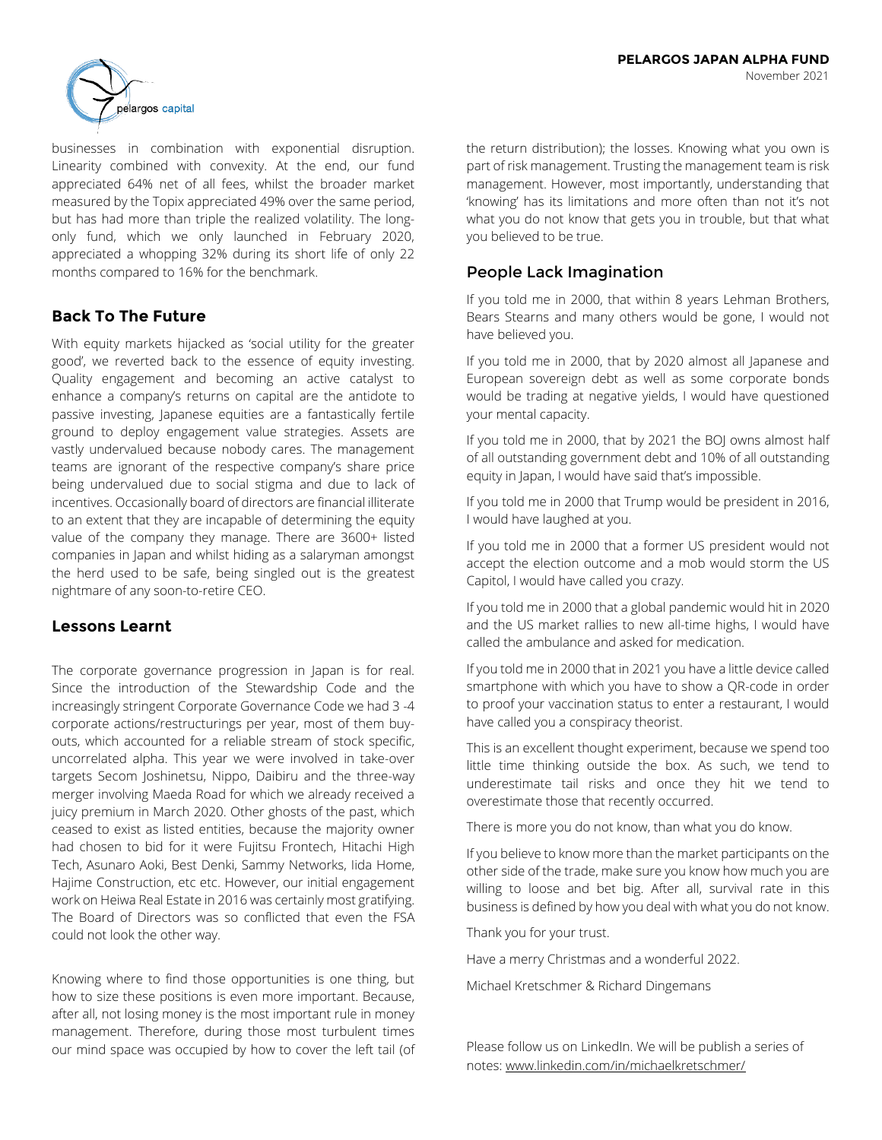

businesses in combination with exponential disruption. Linearity combined with convexity. At the end, our fund appreciated 64% net of all fees, whilst the broader market measured by the Topix appreciated 49% over the same period, but has had more than triple the realized volatility. The longonly fund, which we only launched in February 2020, appreciated a whopping 32% during its short life of only 22 months compared to 16% for the benchmark.

# **Back To The Future**

With equity markets hijacked as 'social utility for the greater good', we reverted back to the essence of equity investing. Quality engagement and becoming an active catalyst to enhance a company's returns on capital are the antidote to passive investing, Japanese equities are a fantastically fertile ground to deploy engagement value strategies. Assets are vastly undervalued because nobody cares. The management teams are ignorant of the respective company's share price being undervalued due to social stigma and due to lack of incentives. Occasionally board of directors are financial illiterate to an extent that they are incapable of determining the equity value of the company they manage. There are 3600+ listed companies in Japan and whilst hiding as a salaryman amongst the herd used to be safe, being singled out is the greatest nightmare of any soon-to-retire CEO.

# **Lessons Learnt**

The corporate governance progression in Japan is for real. Since the introduction of the Stewardship Code and the increasingly stringent Corporate Governance Code we had 3 -4 corporate actions/restructurings per year, most of them buyouts, which accounted for a reliable stream of stock specific, uncorrelated alpha. This year we were involved in take-over targets Secom Joshinetsu, Nippo, Daibiru and the three-way merger involving Maeda Road for which we already received a juicy premium in March 2020. Other ghosts of the past, which ceased to exist as listed entities, because the majority owner had chosen to bid for it were Fujitsu Frontech, Hitachi High Tech, Asunaro Aoki, Best Denki, Sammy Networks, Iida Home, Hajime Construction, etc etc. However, our initial engagement work on Heiwa Real Estate in 2016 was certainly most gratifying. The Board of Directors was so conflicted that even the FSA could not look the other way.

Knowing where to find those opportunities is one thing, but how to size these positions is even more important. Because, after all, not losing money is the most important rule in money management. Therefore, during those most turbulent times our mind space was occupied by how to cover the left tail (of

the return distribution); the losses. Knowing what you own is part of risk management. Trusting the management team is risk management. However, most importantly, understanding that 'knowing' has its limitations and more often than not it's not what you do not know that gets you in trouble, but that what you believed to be true.

# People Lack Imagination

If you told me in 2000, that within 8 years Lehman Brothers, Bears Stearns and many others would be gone, I would not have believed you.

If you told me in 2000, that by 2020 almost all Japanese and European sovereign debt as well as some corporate bonds would be trading at negative yields, I would have questioned your mental capacity.

If you told me in 2000, that by 2021 the BOJ owns almost half of all outstanding government debt and 10% of all outstanding equity in Japan, I would have said that's impossible.

If you told me in 2000 that Trump would be president in 2016, I would have laughed at you.

If you told me in 2000 that a former US president would not accept the election outcome and a mob would storm the US Capitol, I would have called you crazy.

If you told me in 2000 that a global pandemic would hit in 2020 and the US market rallies to new all-time highs, I would have called the ambulance and asked for medication.

If you told me in 2000 that in 2021 you have a little device called smartphone with which you have to show a QR-code in order to proof your vaccination status to enter a restaurant, I would have called you a conspiracy theorist.

This is an excellent thought experiment, because we spend too little time thinking outside the box. As such, we tend to underestimate tail risks and once they hit we tend to overestimate those that recently occurred.

There is more you do not know, than what you do know.

If you believe to know more than the market participants on the other side of the trade, make sure you know how much you are willing to loose and bet big. After all, survival rate in this business is defined by how you deal with what you do not know.

Thank you for your trust.

Have a merry Christmas and a wonderful 2022.

Michael Kretschmer & Richard Dingemans

Please follow us on LinkedIn. We will be publish a series of notes: www.linkedin.com/in/michaelkretschmer/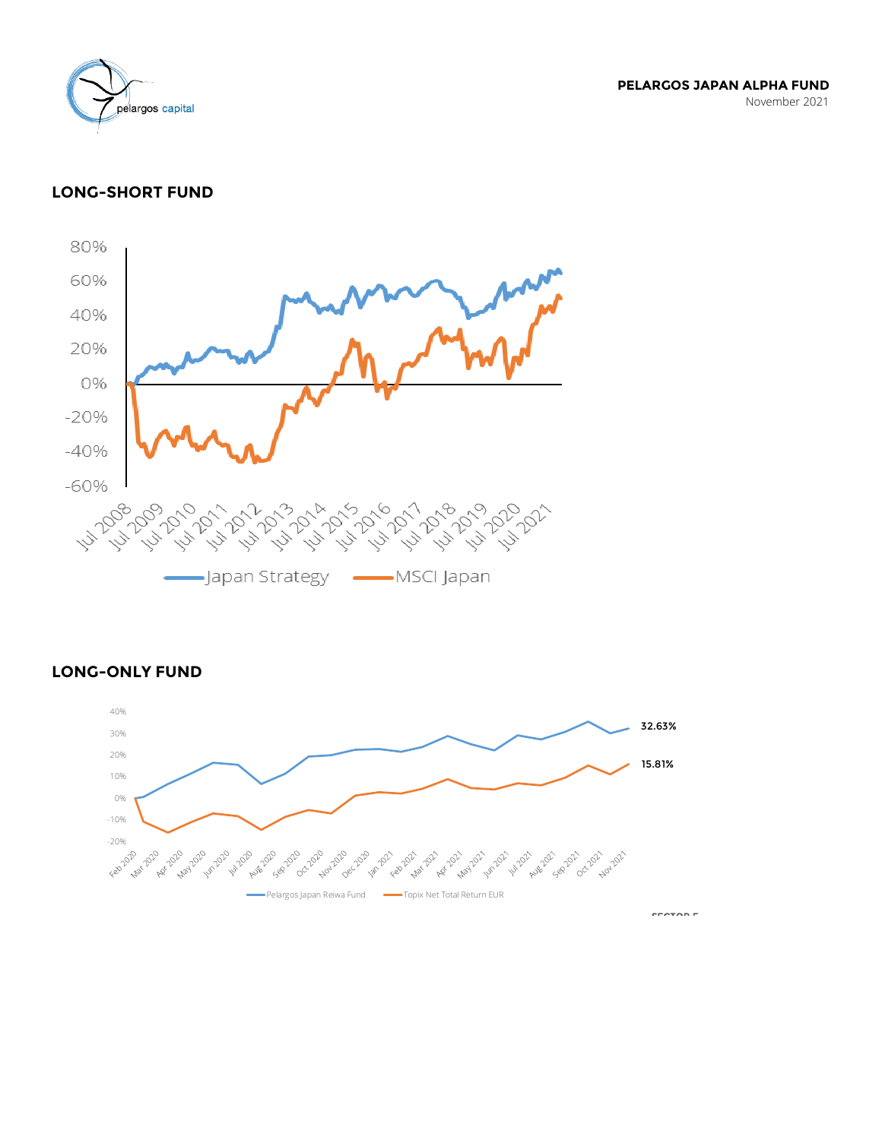

**PELARGOS JAPAN ALPHA FUND** November 2021

# **LONG-SHORT FUND**



 $\mathsf{LONG\text{-}ONLY}\ \mathsf{FUND}$